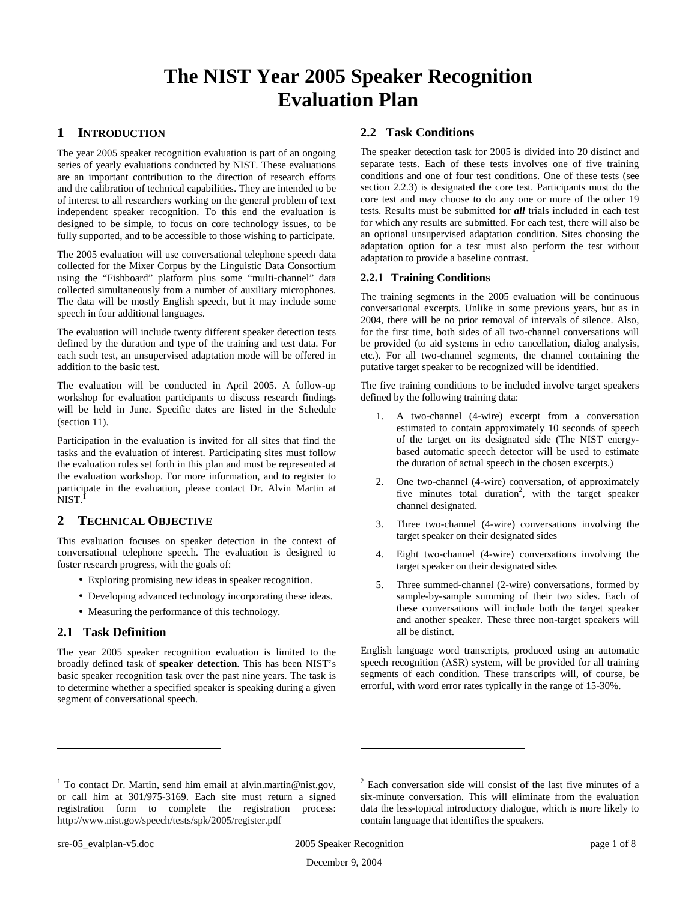# **The NIST Year 2005 Speaker Recognition Evaluation Plan**

# **1 INTRODUCTION**

The year 2005 speaker recognition evaluation is part of an ongoing series of yearly evaluations conducted by NIST. These evaluations are an important contribution to the direction of research efforts and the calibration of technical capabilities. They are intended to be of interest to all researchers working on the general problem of text independent speaker recognition. To this end the evaluation is designed to be simple, to focus on core technology issues, to be fully supported, and to be accessible to those wishing to participate.

The 2005 evaluation will use conversational telephone speech data collected for the Mixer Corpus by the Linguistic Data Consortium using the "Fishboard" platform plus some "multi-channel" data collected simultaneously from a number of auxiliary microphones. The data will be mostly English speech, but it may include some speech in four additional languages.

The evaluation will include twenty different speaker detection tests defined by the duration and type of the training and test data. For each such test, an unsupervised adaptation mode will be offered in addition to the basic test.

The evaluation will be conducted in April 2005. A follow-up workshop for evaluation participants to discuss research findings will be held in June. Specific dates are listed in the Schedule (section 11).

Participation in the evaluation is invited for all sites that find the tasks and the evaluation of interest. Participating sites must follow the evaluation rules set forth in this plan and must be represented at the evaluation workshop. For more information, and to register to participate in the evaluation, please contact Dr. Alvin Martin at  $\mathrm{\overline{N}IST.}^{\mathrm{I}}$ 

# **2 TECHNICAL OBJECTIVE**

This evaluation focuses on speaker detection in the context of conversational telephone speech. The evaluation is designed to foster research progress, with the goals of:

- Exploring promising new ideas in speaker recognition.
- Developing advanced technology incorporating these ideas.
- Measuring the performance of this technology.

## **2.1 Task Definition**

The year 2005 speaker recognition evaluation is limited to the broadly defined task of **speaker detection**. This has been NIST's basic speaker recognition task over the past nine years. The task is to determine whether a specified speaker is speaking during a given segment of conversational speech.

## **2.2 Task Conditions**

The speaker detection task for 2005 is divided into 20 distinct and separate tests. Each of these tests involves one of five training conditions and one of four test conditions. One of these tests (see section 2.2.3) is designated the core test. Participants must do the core test and may choose to do any one or more of the other 19 tests. Results must be submitted for *all* trials included in each test for which any results are submitted. For each test, there will also be an optional unsupervised adaptation condition. Sites choosing the adaptation option for a test must also perform the test without adaptation to provide a baseline contrast.

#### **2.2.1 Training Conditions**

The training segments in the 2005 evaluation will be continuous conversational excerpts. Unlike in some previous years, but as in 2004, there will be no prior removal of intervals of silence. Also, for the first time, both sides of all two-channel conversations will be provided (to aid systems in echo cancellation, dialog analysis, etc.). For all two-channel segments, the channel containing the putative target speaker to be recognized will be identified.

The five training conditions to be included involve target speakers defined by the following training data:

- 1. A two-channel (4-wire) excerpt from a conversation estimated to contain approximately 10 seconds of speech of the target on its designated side (The NIST energybased automatic speech detector will be used to estimate the duration of actual speech in the chosen excerpts.)
- 2. One two-channel (4-wire) conversation, of approximately five minutes total duration<sup>2</sup>, with the target speaker channel designated.
- 3. Three two-channel (4-wire) conversations involving the target speaker on their designated sides
- 4. Eight two-channel (4-wire) conversations involving the target speaker on their designated sides
- 5. Three summed-channel (2-wire) conversations, formed by sample-by-sample summing of their two sides. Each of these conversations will include both the target speaker and another speaker. These three non-target speakers will all be distinct.

English language word transcripts, produced using an automatic speech recognition (ASR) system, will be provided for all training segments of each condition. These transcripts will, of course, be errorful, with word error rates typically in the range of 15-30%.

<sup>&</sup>lt;sup>1</sup> To contact Dr. Martin, send him email at alvin.martin@nist.gov, or call him at 301/975-3169. Each site must return a signed registration form to complete the registration process: http://www.nist.gov/speech/tests/spk/2005/register.pdf

 $2$  Each conversation side will consist of the last five minutes of a six-minute conversation. This will eliminate from the evaluation data the less-topical introductory dialogue, which is more likely to contain language that identifies the speakers.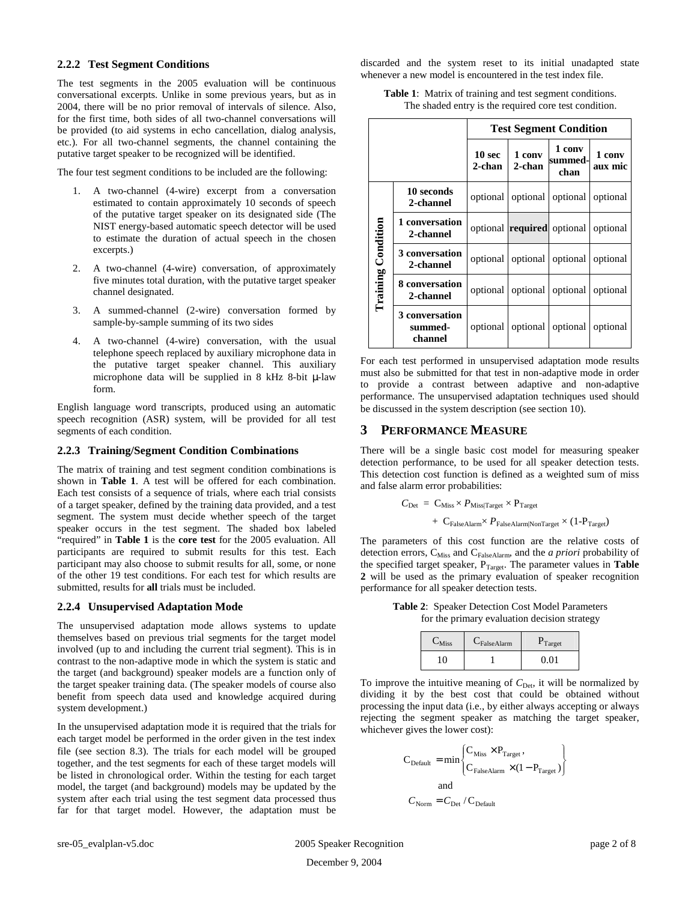#### **2.2.2 Test Segment Conditions**

The test segments in the 2005 evaluation will be continuous conversational excerpts. Unlike in some previous years, but as in 2004, there will be no prior removal of intervals of silence. Also, for the first time, both sides of all two-channel conversations will be provided (to aid systems in echo cancellation, dialog analysis, etc.). For all two-channel segments, the channel containing the putative target speaker to be recognized will be identified.

The four test segment conditions to be included are the following:

- 1. A two-channel (4-wire) excerpt from a conversation estimated to contain approximately 10 seconds of speech of the putative target speaker on its designated side (The NIST energy-based automatic speech detector will be used to estimate the duration of actual speech in the chosen excerpts.)
- 2. A two-channel (4-wire) conversation, of approximately five minutes total duration, with the putative target speaker channel designated.
- 3. A summed-channel (2-wire) conversation formed by sample-by-sample summing of its two sides
- 4. A two-channel (4-wire) conversation, with the usual telephone speech replaced by auxiliary microphone data in the putative target speaker channel. This auxiliary microphone data will be supplied in 8 kHz 8-bit µ-law form.

English language word transcripts, produced using an automatic speech recognition (ASR) system, will be provided for all test segments of each condition.

#### **2.2.3 Training/Segment Condition Combinations**

The matrix of training and test segment condition combinations is shown in **Table 1**. A test will be offered for each combination. Each test consists of a sequence of trials, where each trial consists of a target speaker, defined by the training data provided, and a test segment. The system must decide whether speech of the target speaker occurs in the test segment. The shaded box labeled "required" in **Table 1** is the **core test** for the 2005 evaluation. All participants are required to submit results for this test. Each participant may also choose to submit results for all, some, or none of the other 19 test conditions. For each test for which results are submitted, results for **all** trials must be included.

#### **2.2.4 Unsupervised Adaptation Mode**

The unsupervised adaptation mode allows systems to update themselves based on previous trial segments for the target model involved (up to and including the current trial segment). This is in contrast to the non-adaptive mode in which the system is static and the target (and background) speaker models are a function only of the target speaker training data. (The speaker models of course also benefit from speech data used and knowledge acquired during system development.)

In the unsupervised adaptation mode it is required that the trials for each target model be performed in the order given in the test index file (see section 8.3). The trials for each model will be grouped together, and the test segments for each of these target models will be listed in chronological order. Within the testing for each target model, the target (and background) models may be updated by the system after each trial using the test segment data processed thus far for that target model. However, the adaptation must be discarded and the system reset to its initial unadapted state whenever a new model is encountered in the test index file.

**Table 1**: Matrix of training and test segment conditions. The shaded entry is the required core test condition.

|                           |                                      | <b>Test Segment Condition</b> |                  |                                   |                   |
|---------------------------|--------------------------------------|-------------------------------|------------------|-----------------------------------|-------------------|
|                           |                                      | 10 <sub>sec</sub><br>2-chan   | 1 conv<br>2-chan | 1 conv<br>summed-<br>chan         | 1 conv<br>aux mic |
|                           | 10 seconds<br>2-channel              | optional                      |                  | optional   optional               | optional          |
|                           | 1 conversation<br>2-channel          |                               |                  | optional <b>required</b> optional | optional          |
| <b>Training Condition</b> | 3 conversation<br>2-channel          | optional                      |                  | optional optional                 | optional          |
|                           | 8 conversation<br>2-channel          | optional                      |                  | optional optional                 | optional          |
|                           | 3 conversation<br>summed-<br>channel | optional                      |                  | optional optional                 | optional          |

For each test performed in unsupervised adaptation mode results must also be submitted for that test in non-adaptive mode in order to provide a contrast between adaptive and non-adaptive performance. The unsupervised adaptation techniques used should be discussed in the system description (see section 10).

#### **3 PERFORMANCE MEASURE**

There will be a single basic cost model for measuring speaker detection performance, to be used for all speaker detection tests. This detection cost function is defined as a weighted sum of miss and false alarm error probabilities:

$$
\begin{aligned} C_{\text{Det}} \; & = \; C_{\text{Miss}} \times P_{\text{Miss/Target}} \times P_{\text{Target}} \\ & + \; C_{\text{False} \text{Alarm}} \times P_{\text{False} \text{Alarm}|\text{NonTarget}} \times (1-P_{\text{Target}}) \end{aligned}
$$

The parameters of this cost function are the relative costs of detection errors, C<sub>Miss</sub> and C<sub>FalseAlarm</sub>, and the *a priori* probability of the specified target speaker, P<sub>Target</sub>. The parameter values in **Table 2** will be used as the primary evaluation of speaker recognition performance for all speaker detection tests.

**Table 2**: Speaker Detection Cost Model Parameters for the primary evaluation decision strategy

| $C_{\text{Miss}}$ | $C_{\text{False}$ Alarm | $P_{Target}$ |
|-------------------|-------------------------|--------------|
|                   |                         | በ በ1         |

To improve the intuitive meaning of  $C_{\text{Det}}$ , it will be normalized by dividing it by the best cost that could be obtained without processing the input data (i.e., by either always accepting or always rejecting the segment speaker as matching the target speaker, whichever gives the lower cost):

$$
C_{\text{Default}} = \min \begin{Bmatrix} C_{\text{Miss}} \times P_{\text{Target}} \,, \\ C_{\text{False} \text{Alarm}} \times (1 - P_{\text{Target}}) \end{Bmatrix}
$$
  
and  

$$
C_{\text{Norm}} = C_{\text{Det}} / C_{\text{Default}}
$$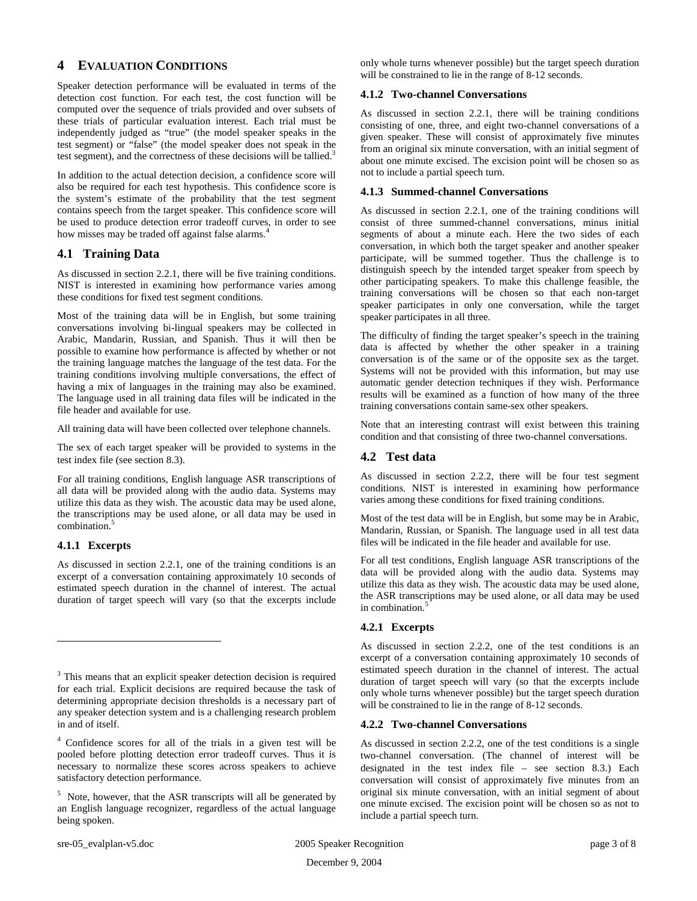# **4 EVALUATION CONDITIONS**

Speaker detection performance will be evaluated in terms of the detection cost function. For each test, the cost function will be computed over the sequence of trials provided and over subsets of these trials of particular evaluation interest. Each trial must be independently judged as "true" (the model speaker speaks in the test segment) or "false" (the model speaker does not speak in the test segment), and the correctness of these decisions will be tallied.<sup>3</sup>

In addition to the actual detection decision, a confidence score will also be required for each test hypothesis. This confidence score is the system's estimate of the probability that the test segment contains speech from the target speaker. This confidence score will be used to produce detection error tradeoff curves, in order to see how misses may be traded off against false alarms.<sup>4</sup>

# **4.1 Training Data**

As discussed in section 2.2.1, there will be five training conditions. NIST is interested in examining how performance varies among these conditions for fixed test segment conditions.

Most of the training data will be in English, but some training conversations involving bi-lingual speakers may be collected in Arabic, Mandarin, Russian, and Spanish. Thus it will then be possible to examine how performance is affected by whether or not the training language matches the language of the test data. For the training conditions involving multiple conversations, the effect of having a mix of languages in the training may also be examined. The language used in all training data files will be indicated in the file header and available for use.

All training data will have been collected over telephone channels.

The sex of each target speaker will be provided to systems in the test index file (see section 8.3).

For all training conditions, English language ASR transcriptions of all data will be provided along with the audio data. Systems may utilize this data as they wish. The acoustic data may be used alone, the transcriptions may be used alone, or all data may be used in combination. 5

## **4.1.1 Excerpts**

As discussed in section 2.2.1, one of the training conditions is an excerpt of a conversation containing approximately 10 seconds of estimated speech duration in the channel of interest. The actual duration of target speech will vary (so that the excerpts include only whole turns whenever possible) but the target speech duration will be constrained to lie in the range of 8-12 seconds.

# **4.1.2 Two-channel Conversations**

As discussed in section 2.2.1, there will be training conditions consisting of one, three, and eight two-channel conversations of a given speaker. These will consist of approximately five minutes from an original six minute conversation, with an initial segment of about one minute excised. The excision point will be chosen so as not to include a partial speech turn.

#### **4.1.3 Summed-channel Conversations**

As discussed in section 2.2.1, one of the training conditions will consist of three summed-channel conversations, minus initial segments of about a minute each. Here the two sides of each conversation, in which both the target speaker and another speaker participate, will be summed together. Thus the challenge is to distinguish speech by the intended target speaker from speech by other participating speakers. To make this challenge feasible, the training conversations will be chosen so that each non-target speaker participates in only one conversation, while the target speaker participates in all three.

The difficulty of finding the target speaker's speech in the training data is affected by whether the other speaker in a training conversation is of the same or of the opposite sex as the target. Systems will not be provided with this information, but may use automatic gender detection techniques if they wish. Performance results will be examined as a function of how many of the three training conversations contain same-sex other speakers.

Note that an interesting contrast will exist between this training condition and that consisting of three two-channel conversations.

# **4.2 Test data**

As discussed in section 2.2.2, there will be four test segment conditions. NIST is interested in examining how performance varies among these conditions for fixed training conditions.

Most of the test data will be in English, but some may be in Arabic, Mandarin, Russian, or Spanish. The language used in all test data files will be indicated in the file header and available for use.

For all test conditions, English language ASR transcriptions of the data will be provided along with the audio data. Systems may utilize this data as they wish. The acoustic data may be used alone, the ASR transcriptions may be used alone, or all data may be used in combination. 5

#### **4.2.1 Excerpts**

As discussed in section 2.2.2, one of the test conditions is an excerpt of a conversation containing approximately 10 seconds of estimated speech duration in the channel of interest. The actual duration of target speech will vary (so that the excerpts include only whole turns whenever possible) but the target speech duration will be constrained to lie in the range of 8-12 seconds.

#### **4.2.2 Two-channel Conversations**

As discussed in section 2.2.2, one of the test conditions is a single two-channel conversation. (The channel of interest will be designated in the test index file – see section 8.3.) Each conversation will consist of approximately five minutes from an original six minute conversation, with an initial segment of about one minute excised. The excision point will be chosen so as not to include a partial speech turn.

<sup>&</sup>lt;sup>3</sup> This means that an explicit speaker detection decision is required for each trial. Explicit decisions are required because the task of determining appropriate decision thresholds is a necessary part of any speaker detection system and is a challenging research problem in and of itself.

<sup>4</sup> Confidence scores for all of the trials in a given test will be pooled before plotting detection error tradeoff curves. Thus it is necessary to normalize these scores across speakers to achieve satisfactory detection performance.

 $<sup>5</sup>$  Note, however, that the ASR transcripts will all be generated by</sup> an English language recognizer, regardless of the actual language being spoken.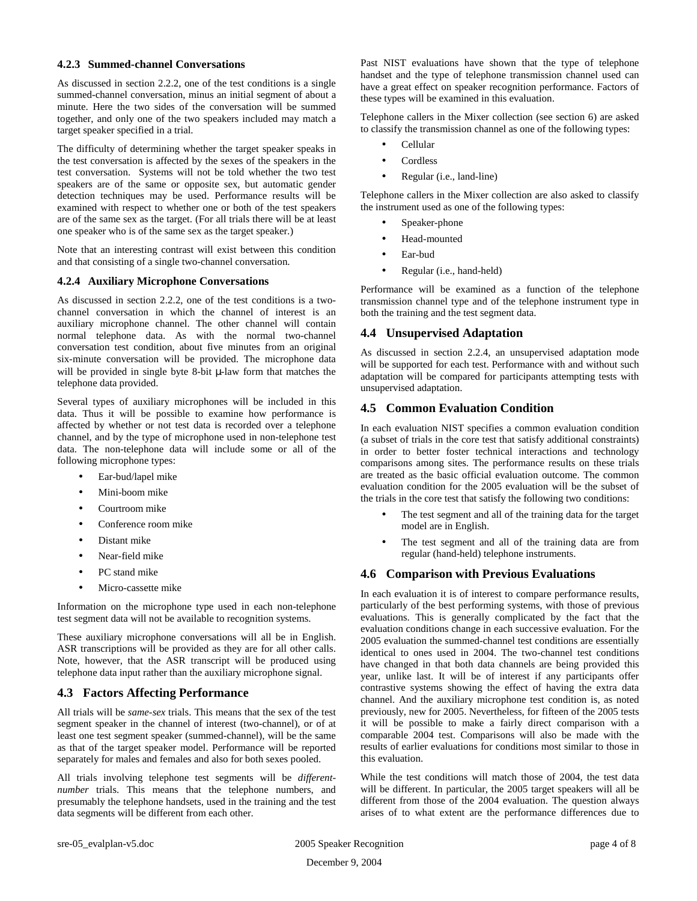#### **4.2.3 Summed-channel Conversations**

As discussed in section 2.2.2, one of the test conditions is a single summed-channel conversation, minus an initial segment of about a minute. Here the two sides of the conversation will be summed together, and only one of the two speakers included may match a target speaker specified in a trial.

The difficulty of determining whether the target speaker speaks in the test conversation is affected by the sexes of the speakers in the test conversation. Systems will not be told whether the two test speakers are of the same or opposite sex, but automatic gender detection techniques may be used. Performance results will be examined with respect to whether one or both of the test speakers are of the same sex as the target. (For all trials there will be at least one speaker who is of the same sex as the target speaker.)

Note that an interesting contrast will exist between this condition and that consisting of a single two-channel conversation.

#### **4.2.4 Auxiliary Microphone Conversations**

As discussed in section 2.2.2, one of the test conditions is a twochannel conversation in which the channel of interest is an auxiliary microphone channel. The other channel will contain normal telephone data. As with the normal two-channel conversation test condition, about five minutes from an original six-minute conversation will be provided. The microphone data will be provided in single byte 8-bit  $\mu$ -law form that matches the telephone data provided.

Several types of auxiliary microphones will be included in this data. Thus it will be possible to examine how performance is affected by whether or not test data is recorded over a telephone channel, and by the type of microphone used in non-telephone test data. The non-telephone data will include some or all of the following microphone types:

- Ear-bud/lapel mike
- Mini-boom mike
- Courtroom mike
- Conference room mike
- Distant mike
- Near-field mike
- PC stand mike
- Micro-cassette mike

Information on the microphone type used in each non-telephone test segment data will not be available to recognition systems.

These auxiliary microphone conversations will all be in English. ASR transcriptions will be provided as they are for all other calls. Note, however, that the ASR transcript will be produced using telephone data input rather than the auxiliary microphone signal.

## **4.3 Factors Affecting Performance**

All trials will be *same-sex* trials. This means that the sex of the test segment speaker in the channel of interest (two-channel), or of at least one test segment speaker (summed-channel), will be the same as that of the target speaker model. Performance will be reported separately for males and females and also for both sexes pooled.

All trials involving telephone test segments will be *differentnumber* trials. This means that the telephone numbers, and presumably the telephone handsets, used in the training and the test data segments will be different from each other.

Past NIST evaluations have shown that the type of telephone handset and the type of telephone transmission channel used can have a great effect on speaker recognition performance. Factors of these types will be examined in this evaluation.

Telephone callers in the Mixer collection (see section 6) are asked to classify the transmission channel as one of the following types:

- Cellular
- **Cordless**
- Regular (i.e., land-line)

Telephone callers in the Mixer collection are also asked to classify the instrument used as one of the following types:

- Speaker-phone
- Head-mounted
- Ear-bud
- Regular (i.e., hand-held)

Performance will be examined as a function of the telephone transmission channel type and of the telephone instrument type in both the training and the test segment data.

## **4.4 Unsupervised Adaptation**

As discussed in section 2.2.4, an unsupervised adaptation mode will be supported for each test. Performance with and without such adaptation will be compared for participants attempting tests with unsupervised adaptation.

# **4.5 Common Evaluation Condition**

In each evaluation NIST specifies a common evaluation condition (a subset of trials in the core test that satisfy additional constraints) in order to better foster technical interactions and technology comparisons among sites. The performance results on these trials are treated as the basic official evaluation outcome. The common evaluation condition for the 2005 evaluation will be the subset of the trials in the core test that satisfy the following two conditions:

- The test segment and all of the training data for the target model are in English.
- The test segment and all of the training data are from regular (hand-held) telephone instruments.

## **4.6 Comparison with Previous Evaluations**

In each evaluation it is of interest to compare performance results, particularly of the best performing systems, with those of previous evaluations. This is generally complicated by the fact that the evaluation conditions change in each successive evaluation. For the 2005 evaluation the summed-channel test conditions are essentially identical to ones used in 2004. The two-channel test conditions have changed in that both data channels are being provided this year, unlike last. It will be of interest if any participants offer contrastive systems showing the effect of having the extra data channel. And the auxiliary microphone test condition is, as noted previously, new for 2005. Nevertheless, for fifteen of the 2005 tests it will be possible to make a fairly direct comparison with a comparable 2004 test. Comparisons will also be made with the results of earlier evaluations for conditions most similar to those in this evaluation.

While the test conditions will match those of 2004, the test data will be different. In particular, the 2005 target speakers will all be different from those of the 2004 evaluation. The question always arises of to what extent are the performance differences due to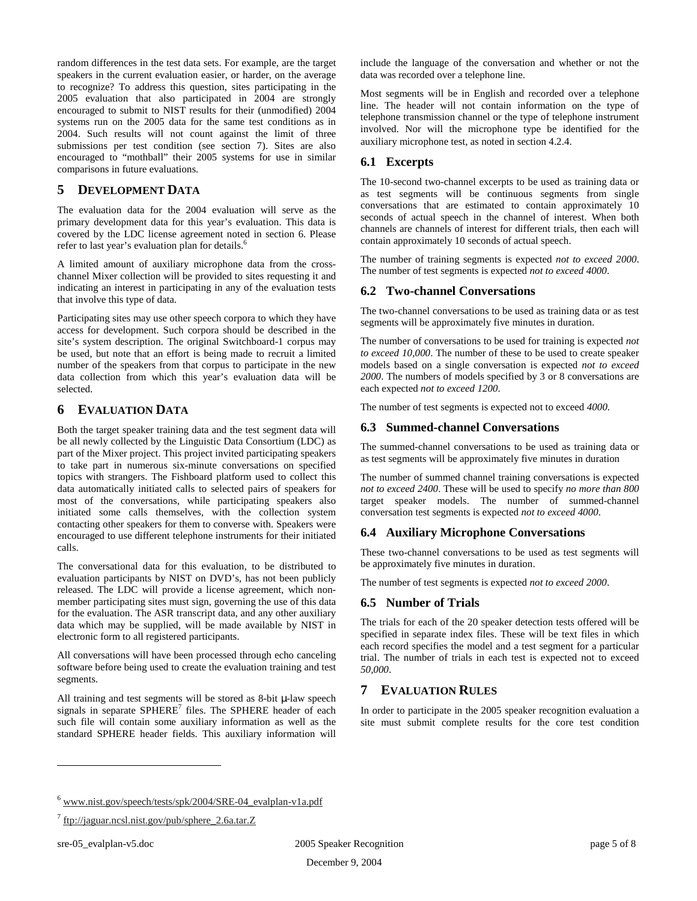random differences in the test data sets. For example, are the target speakers in the current evaluation easier, or harder, on the average to recognize? To address this question, sites participating in the 2005 evaluation that also participated in 2004 are strongly encouraged to submit to NIST results for their (unmodified) 2004 systems run on the 2005 data for the same test conditions as in 2004. Such results will not count against the limit of three submissions per test condition (see section 7). Sites are also encouraged to "mothball" their 2005 systems for use in similar comparisons in future evaluations.

# **5 DEVELOPMENT DATA**

The evaluation data for the 2004 evaluation will serve as the primary development data for this year's evaluation. This data is covered by the LDC license agreement noted in section 6. Please refer to last year's evaluation plan for details. 6

A limited amount of auxiliary microphone data from the crosschannel Mixer collection will be provided to sites requesting it and indicating an interest in participating in any of the evaluation tests that involve this type of data.

Participating sites may use other speech corpora to which they have access for development. Such corpora should be described in the site's system description. The original Switchboard-1 corpus may be used, but note that an effort is being made to recruit a limited number of the speakers from that corpus to participate in the new data collection from which this year's evaluation data will be selected.

# **6 EVALUATION DATA**

Both the target speaker training data and the test segment data will be all newly collected by the Linguistic Data Consortium (LDC) as part of the Mixer project. This project invited participating speakers to take part in numerous six-minute conversations on specified topics with strangers. The Fishboard platform used to collect this data automatically initiated calls to selected pairs of speakers for most of the conversations, while participating speakers also initiated some calls themselves, with the collection system contacting other speakers for them to converse with. Speakers were encouraged to use different telephone instruments for their initiated calls.

The conversational data for this evaluation, to be distributed to evaluation participants by NIST on DVD's, has not been publicly released. The LDC will provide a license agreement, which nonmember participating sites must sign, governing the use of this data for the evaluation. The ASR transcript data, and any other auxiliary data which may be supplied, will be made available by NIST in electronic form to all registered participants.

All conversations will have been processed through echo canceling software before being used to create the evaluation training and test segments.

All training and test segments will be stored as 8-bit  $\mu$ -law speech signals in separate SPHERE<sup>7</sup> files. The SPHERE header of each such file will contain some auxiliary information as well as the standard SPHERE header fields. This auxiliary information will

include the language of the conversation and whether or not the data was recorded over a telephone line.

Most segments will be in English and recorded over a telephone line. The header will not contain information on the type of telephone transmission channel or the type of telephone instrument involved. Nor will the microphone type be identified for the auxiliary microphone test, as noted in section 4.2.4.

# **6.1 Excerpts**

The 10-second two-channel excerpts to be used as training data or as test segments will be continuous segments from single conversations that are estimated to contain approximately 10 seconds of actual speech in the channel of interest. When both channels are channels of interest for different trials, then each will contain approximately 10 seconds of actual speech.

The number of training segments is expected *not to exceed 2000*. The number of test segments is expected *not to exceed 4000*.

# **6.2 Two-channel Conversations**

The two-channel conversations to be used as training data or as test segments will be approximately five minutes in duration.

The number of conversations to be used for training is expected *not to exceed 10,000*. The number of these to be used to create speaker models based on a single conversation is expected *not to exceed 2000*. The numbers of models specified by 3 or 8 conversations are each expected *not to exceed 1200*.

The number of test segments is expected not to exceed *4000*.

#### **6.3 Summed-channel Conversations**

The summed-channel conversations to be used as training data or as test segments will be approximately five minutes in duration

The number of summed channel training conversations is expected *not to exceed 2400*. These will be used to specify *no more than 800* target speaker models. The number of summed-channel conversation test segments is expected *not to exceed 4000*.

## **6.4 Auxiliary Microphone Conversations**

These two-channel conversations to be used as test segments will be approximately five minutes in duration.

The number of test segments is expected *not to exceed 2000*.

## **6.5 Number of Trials**

The trials for each of the 20 speaker detection tests offered will be specified in separate index files. These will be text files in which each record specifies the model and a test segment for a particular trial. The number of trials in each test is expected not to exceed *50,000*.

## **7 EVALUATION RULES**

In order to participate in the 2005 speaker recognition evaluation a site must submit complete results for the core test condition

<sup>6</sup> www.nist.gov/speech/tests/spk/2004/SRE-04\_evalplan-v1a.pdf

<sup>&</sup>lt;sup>7</sup> ftp://jaguar.ncsl.nist.gov/pub/sphere\_2.6a.tar.Z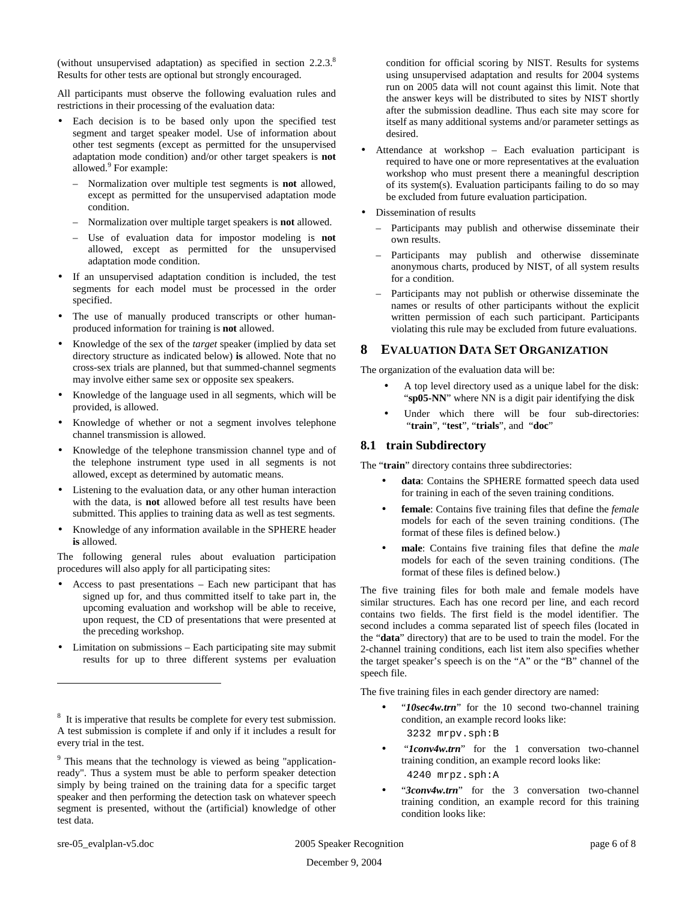(without unsupervised adaptation) as specified in section 2.2.3. 8 Results for other tests are optional but strongly encouraged.

All participants must observe the following evaluation rules and restrictions in their processing of the evaluation data:

- Each decision is to be based only upon the specified test segment and target speaker model. Use of information about other test segments (except as permitted for the unsupervised adaptation mode condition) and/or other target speakers is **not** allowed.<sup>9</sup> For example:
	- Normalization over multiple test segments is **not** allowed, except as permitted for the unsupervised adaptation mode condition.
	- Normalization over multiple target speakers is **not** allowed.
	- Use of evaluation data for impostor modeling is **not** allowed, except as permitted for the unsupervised adaptation mode condition.
- If an unsupervised adaptation condition is included, the test segments for each model must be processed in the order specified.
- The use of manually produced transcripts or other humanproduced information for training is **not** allowed.
- Knowledge of the sex of the *target* speaker (implied by data set directory structure as indicated below) **is** allowed. Note that no cross-sex trials are planned, but that summed-channel segments may involve either same sex or opposite sex speakers.
- Knowledge of the language used in all segments, which will be provided, is allowed.
- Knowledge of whether or not a segment involves telephone channel transmission is allowed.
- Knowledge of the telephone transmission channel type and of the telephone instrument type used in all segments is not allowed, except as determined by automatic means.
- Listening to the evaluation data, or any other human interaction with the data, is **not** allowed before all test results have been submitted. This applies to training data as well as test segments.
- Knowledge of any information available in the SPHERE header **is** allowed.

The following general rules about evaluation participation procedures will also apply for all participating sites:

- Access to past presentations Each new participant that has signed up for, and thus committed itself to take part in, the upcoming evaluation and workshop will be able to receive, upon request, the CD of presentations that were presented at the preceding workshop.
- Limitation on submissions Each participating site may submit results for up to three different systems per evaluation

condition for official scoring by NIST. Results for systems using unsupervised adaptation and results for 2004 systems run on 2005 data will not count against this limit. Note that the answer keys will be distributed to sites by NIST shortly after the submission deadline. Thus each site may score for itself as many additional systems and/or parameter settings as desired.

- Attendance at workshop Each evaluation participant is required to have one or more representatives at the evaluation workshop who must present there a meaningful description of its system(s). Evaluation participants failing to do so may be excluded from future evaluation participation.
- Dissemination of results
	- Participants may publish and otherwise disseminate their own results.
	- Participants may publish and otherwise disseminate anonymous charts, produced by NIST, of all system results for a condition.
	- Participants may not publish or otherwise disseminate the names or results of other participants without the explicit written permission of each such participant. Participants violating this rule may be excluded from future evaluations.

# **8 EVALUATION DATA SET ORGANIZATION**

The organization of the evaluation data will be:

- A top level directory used as a unique label for the disk: "sp05-NN" where NN is a digit pair identifying the disk
- Under which there will be four sub-directories: "**train**", "**test**", "**trials**", and "**doc**"

# **8.1 train Subdirectory**

The "**train**" directory contains three subdirectories:

- data: Contains the SPHERE formatted speech data used for training in each of the seven training conditions.
- **female**: Contains five training files that define the *female* models for each of the seven training conditions. (The format of these files is defined below.)
- **male**: Contains five training files that define the *male* models for each of the seven training conditions. (The format of these files is defined below.)

The five training files for both male and female models have similar structures. Each has one record per line, and each record contains two fields. The first field is the model identifier. The second includes a comma separated list of speech files (located in the "**data**" directory) that are to be used to train the model. For the 2-channel training conditions, each list item also specifies whether the target speaker's speech is on the "A" or the "B" channel of the speech file.

The five training files in each gender directory are named:

- "*10sec4w.trn*" for the 10 second two-channel training condition, an example record looks like: 3232 mrpv.sph:B
- "*Iconv4w.trn*" for the 1 conversation two-channel training condition, an example record looks like: 4240 mrpz.sph:A
- "*3conv4w.trn*" for the 3 conversation two-channel training condition, an example record for this training condition looks like:

<sup>&</sup>lt;sup>8</sup> It is imperative that results be complete for every test submission. A test submission is complete if and only if it includes a result for every trial in the test.

<sup>&</sup>lt;sup>9</sup> This means that the technology is viewed as being "applicationready". Thus a system must be able to perform speaker detection simply by being trained on the training data for a specific target speaker and then performing the detection task on whatever speech segment is presented, without the (artificial) knowledge of other test data.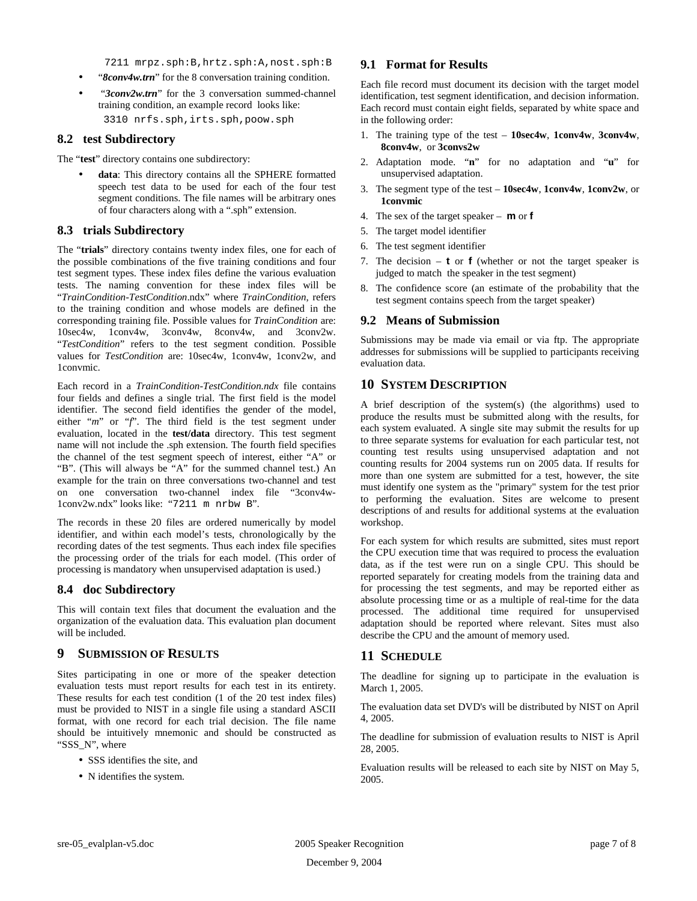7211 mrpz.sph:B,hrtz.sph:A,nost.sph:B

- "*8conv4w.trn*" for the 8 conversation training condition.
- "*3conv2w.trn*" for the 3 conversation summed-channel training condition, an example record looks like:

3310 nrfs.sph,irts.sph,poow.sph

#### **8.2 test Subdirectory**

The "**test**" directory contains one subdirectory:

• **data**: This directory contains all the SPHERE formatted speech test data to be used for each of the four test segment conditions. The file names will be arbitrary ones of four characters along with a ".sph" extension.

#### **8.3 trials Subdirectory**

The "**trials**" directory contains twenty index files, one for each of the possible combinations of the five training conditions and four test segment types. These index files define the various evaluation tests. The naming convention for these index files will be "*TrainCondition-TestCondition*.ndx" where *TrainCondition*, refers to the training condition and whose models are defined in the corresponding training file. Possible values for *TrainCondition* are: 10sec4w, 1conv4w, 3conv4w, 8conv4w, and 3conv2w. "*TestCondition*" refers to the test segment condition. Possible values for *TestCondition* are: 10sec4w, 1conv4w, 1conv2w, and 1convmic.

Each record in a *TrainCondition-TestCondition.ndx* file contains four fields and defines a single trial. The first field is the model identifier. The second field identifies the gender of the model, either "*m*" or "*f*". The third field is the test segment under evaluation, located in the **test/data** directory. This test segment name will not include the .sph extension. The fourth field specifies the channel of the test segment speech of interest, either "A" or "B". (This will always be "A" for the summed channel test.) An example for the train on three conversations two-channel and test on one conversation two-channel index file "3conv4w-1conv2w.ndx" looks like: "7211 m nrbw B".

The records in these 20 files are ordered numerically by model identifier, and within each model's tests, chronologically by the recording dates of the test segments. Thus each index file specifies the processing order of the trials for each model. (This order of processing is mandatory when unsupervised adaptation is used.)

## **8.4 doc Subdirectory**

This will contain text files that document the evaluation and the organization of the evaluation data. This evaluation plan document will be included.

## **9 SUBMISSION OF RESULTS**

Sites participating in one or more of the speaker detection evaluation tests must report results for each test in its entirety. These results for each test condition (1 of the 20 test index files) must be provided to NIST in a single file using a standard ASCII format, with one record for each trial decision. The file name should be intuitively mnemonic and should be constructed as "SSS\_N", where

- SSS identifies the site, and
- N identifies the system.

#### **9.1 Format for Results**

Each file record must document its decision with the target model identification, test segment identification, and decision information. Each record must contain eight fields, separated by white space and in the following order:

- 1. The training type of the test **10sec4w**, **1conv4w**, **3conv4w**, **8conv4w**, or **3convs2w**
- 2. Adaptation mode. "**n**" for no adaptation and "**u**" for unsupervised adaptation.
- 3. The segment type of the test **10sec4w**, **1conv4w**, **1conv2w**, or **1convmic**
- 4. The sex of the target speaker **m** or **f**
- 5. The target model identifier
- 6. The test segment identifier
- 7. The decision **t** or **f** (whether or not the target speaker is judged to match the speaker in the test segment)
- 8. The confidence score (an estimate of the probability that the test segment contains speech from the target speaker)

## **9.2 Means of Submission**

Submissions may be made via email or via ftp. The appropriate addresses for submissions will be supplied to participants receiving evaluation data.

# **10 SYSTEM DESCRIPTION**

A brief description of the system(s) (the algorithms) used to produce the results must be submitted along with the results, for each system evaluated. A single site may submit the results for up to three separate systems for evaluation for each particular test, not counting test results using unsupervised adaptation and not counting results for 2004 systems run on 2005 data. If results for more than one system are submitted for a test, however, the site must identify one system as the "primary" system for the test prior to performing the evaluation. Sites are welcome to present descriptions of and results for additional systems at the evaluation workshop.

For each system for which results are submitted, sites must report the CPU execution time that was required to process the evaluation data, as if the test were run on a single CPU. This should be reported separately for creating models from the training data and for processing the test segments, and may be reported either as absolute processing time or as a multiple of real-time for the data processed. The additional time required for unsupervised adaptation should be reported where relevant. Sites must also describe the CPU and the amount of memory used.

# **11 SCHEDULE**

The deadline for signing up to participate in the evaluation is March 1, 2005.

The evaluation data set DVD's will be distributed by NIST on April 4, 2005.

The deadline for submission of evaluation results to NIST is April 28, 2005.

Evaluation results will be released to each site by NIST on May 5, 2005.